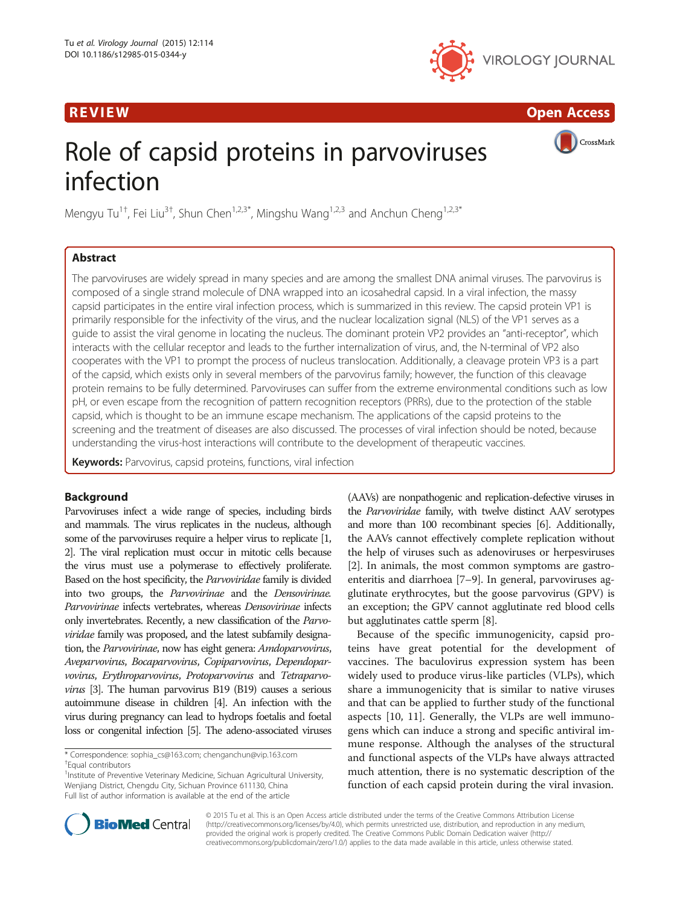

**REVIEW CONTROL** CONTROL CONTROL CONTROL CONTROL CONTROL CONTROL CONTROL CONTROL CONTROL CONTROL CONTROL CONTROL CONTROL CONTROL CONTROL CONTROL CONTROL CONTROL CONTROL CONTROL CONTROL CONTROL CONTROL CONTROL CONTROL CONTR

CrossMark

# Role of capsid proteins in parvoviruses infection

Mengyu Tu<sup>1†</sup>, Fei Liu<sup>3†</sup>, Shun Chen<sup>1,2,3\*</sup>, Mingshu Wang<sup>1,2,3</sup> and Anchun Cheng<sup>1,2,3\*</sup>

# Abstract

The parvoviruses are widely spread in many species and are among the smallest DNA animal viruses. The parvovirus is composed of a single strand molecule of DNA wrapped into an icosahedral capsid. In a viral infection, the massy capsid participates in the entire viral infection process, which is summarized in this review. The capsid protein VP1 is primarily responsible for the infectivity of the virus, and the nuclear localization signal (NLS) of the VP1 serves as a guide to assist the viral genome in locating the nucleus. The dominant protein VP2 provides an "anti-receptor", which interacts with the cellular receptor and leads to the further internalization of virus, and, the N-terminal of VP2 also cooperates with the VP1 to prompt the process of nucleus translocation. Additionally, a cleavage protein VP3 is a part of the capsid, which exists only in several members of the parvovirus family; however, the function of this cleavage protein remains to be fully determined. Parvoviruses can suffer from the extreme environmental conditions such as low pH, or even escape from the recognition of pattern recognition receptors (PRRs), due to the protection of the stable capsid, which is thought to be an immune escape mechanism. The applications of the capsid proteins to the screening and the treatment of diseases are also discussed. The processes of viral infection should be noted, because understanding the virus-host interactions will contribute to the development of therapeutic vaccines.

Keywords: Parvovirus, capsid proteins, functions, viral infection

### Background

Parvoviruses infect a wide range of species, including birds and mammals. The virus replicates in the nucleus, although some of the parvoviruses require a helper virus to replicate [\[1](#page-6-0), [2](#page-6-0)]. The viral replication must occur in mitotic cells because the virus must use a polymerase to effectively proliferate. Based on the host specificity, the Parvoviridae family is divided into two groups, the Parvovirinae and the Densovirinae. Parvovirinae infects vertebrates, whereas Densovirinae infects only invertebrates. Recently, a new classification of the Parvoviridae family was proposed, and the latest subfamily designation, the Parvovirinae, now has eight genera: Amdoparvovirus, Aveparvovirus, Bocaparvovirus, Copiparvovirus, Dependoparvovirus, Erythroparvovirus, Protoparvovirus and Tetraparvovirus [\[3\]](#page-6-0). The human parvovirus B19 (B19) causes a serious autoimmune disease in children [\[4\]](#page-6-0). An infection with the virus during pregnancy can lead to hydrops foetalis and foetal loss or congenital infection [\[5](#page-6-0)]. The adeno-associated viruses

\* Correspondence: [sophia\\_cs@163.com;](mailto:sophia_cs@163.com) [chenganchun@vip.163.com](mailto:chenganchun@vip.163.com) † Equal contributors

<sup>1</sup>Institute of Preventive Veterinary Medicine, Sichuan Agricultural University, Wenjiang District, Chengdu City, Sichuan Province 611130, China Full list of author information is available at the end of the article

(AAVs) are nonpathogenic and replication-defective viruses in the Parvoviridae family, with twelve distinct AAV serotypes and more than 100 recombinant species [[6\]](#page-6-0). Additionally, the AAVs cannot effectively complete replication without the help of viruses such as adenoviruses or herpesviruses [[2\]](#page-6-0). In animals, the most common symptoms are gastroenteritis and diarrhoea [[7](#page-6-0)–[9](#page-6-0)]. In general, parvoviruses agglutinate erythrocytes, but the goose parvovirus (GPV) is an exception; the GPV cannot agglutinate red blood cells but agglutinates cattle sperm [[8](#page-6-0)].

Because of the specific immunogenicity, capsid proteins have great potential for the development of vaccines. The baculovirus expression system has been widely used to produce virus-like particles (VLPs), which share a immunogenicity that is similar to native viruses and that can be applied to further study of the functional aspects [\[10](#page-6-0), [11](#page-6-0)]. Generally, the VLPs are well immunogens which can induce a strong and specific antiviral immune response. Although the analyses of the structural and functional aspects of the VLPs have always attracted much attention, there is no systematic description of the function of each capsid protein during the viral invasion.



© 2015 Tu et al. This is an Open Access article distributed under the terms of the Creative Commons Attribution License [\(http://creativecommons.org/licenses/by/4.0\)](http://creativecommons.org/licenses/by/4.0), which permits unrestricted use, distribution, and reproduction in any medium, provided the original work is properly credited. The Creative Commons Public Domain Dedication waiver [\(http://](http://creativecommons.org/publicdomain/zero/1.0/) [creativecommons.org/publicdomain/zero/1.0/\)](http://creativecommons.org/publicdomain/zero/1.0/) applies to the data made available in this article, unless otherwise stated.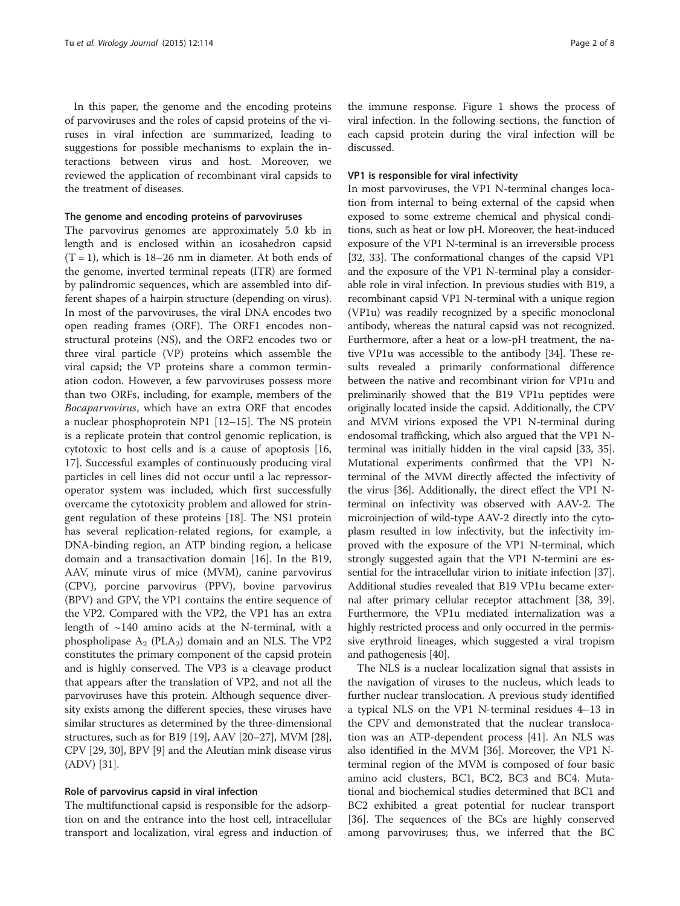In this paper, the genome and the encoding proteins of parvoviruses and the roles of capsid proteins of the viruses in viral infection are summarized, leading to suggestions for possible mechanisms to explain the interactions between virus and host. Moreover, we reviewed the application of recombinant viral capsids to the treatment of diseases.

#### The genome and encoding proteins of parvoviruses

The parvovirus genomes are approximately 5.0 kb in length and is enclosed within an icosahedron capsid  $(T = 1)$ , which is 18–26 nm in diameter. At both ends of the genome, inverted terminal repeats (ITR) are formed by palindromic sequences, which are assembled into different shapes of a hairpin structure (depending on virus). In most of the parvoviruses, the viral DNA encodes two open reading frames (ORF). The ORF1 encodes nonstructural proteins (NS), and the ORF2 encodes two or three viral particle (VP) proteins which assemble the viral capsid; the VP proteins share a common termination codon. However, a few parvoviruses possess more than two ORFs, including, for example, members of the Bocaparvovirus, which have an extra ORF that encodes a nuclear phosphoprotein NP1 [[12](#page-6-0)–[15](#page-6-0)]. The NS protein is a replicate protein that control genomic replication, is cytotoxic to host cells and is a cause of apoptosis [[16](#page-6-0), [17\]](#page-6-0). Successful examples of continuously producing viral particles in cell lines did not occur until a lac repressoroperator system was included, which first successfully overcame the cytotoxicity problem and allowed for stringent regulation of these proteins [[18](#page-6-0)]. The NS1 protein has several replication-related regions, for example, a DNA-binding region, an ATP binding region, a helicase domain and a transactivation domain [[16\]](#page-6-0). In the B19, AAV, minute virus of mice (MVM), canine parvovirus (CPV), porcine parvovirus (PPV), bovine parvovirus (BPV) and GPV, the VP1 contains the entire sequence of the VP2. Compared with the VP2, the VP1 has an extra length of ~140 amino acids at the N-terminal, with a phospholipase  $A_2$  (PLA<sub>2</sub>) domain and an NLS. The VP2 constitutes the primary component of the capsid protein and is highly conserved. The VP3 is a cleavage product that appears after the translation of VP2, and not all the parvoviruses have this protein. Although sequence diversity exists among the different species, these viruses have similar structures as determined by the three-dimensional structures, such as for B19 [\[19\]](#page-6-0), AAV [\[20](#page-6-0)–[27](#page-6-0)], MVM [[28](#page-6-0)], CPV [\[29, 30](#page-6-0)], BPV [[9\]](#page-6-0) and the Aleutian mink disease virus (ADV) [\[31](#page-6-0)].

#### Role of parvovirus capsid in viral infection

The multifunctional capsid is responsible for the adsorption on and the entrance into the host cell, intracellular transport and localization, viral egress and induction of

the immune response. Figure [1](#page-2-0) shows the process of viral infection. In the following sections, the function of each capsid protein during the viral infection will be discussed.

#### VP1 is responsible for viral infectivity

In most parvoviruses, the VP1 N-terminal changes location from internal to being external of the capsid when exposed to some extreme chemical and physical conditions, such as heat or low pH. Moreover, the heat-induced exposure of the VP1 N-terminal is an irreversible process [[32](#page-6-0), [33](#page-6-0)]. The conformational changes of the capsid VP1 and the exposure of the VP1 N-terminal play a considerable role in viral infection. In previous studies with B19, a recombinant capsid VP1 N-terminal with a unique region (VP1u) was readily recognized by a specific monoclonal antibody, whereas the natural capsid was not recognized. Furthermore, after a heat or a low-pH treatment, the native VP1u was accessible to the antibody [[34](#page-6-0)]. These results revealed a primarily conformational difference between the native and recombinant virion for VP1u and preliminarily showed that the B19 VP1u peptides were originally located inside the capsid. Additionally, the CPV and MVM virions exposed the VP1 N-terminal during endosomal trafficking, which also argued that the VP1 Nterminal was initially hidden in the viral capsid [\[33, 35](#page-6-0)]. Mutational experiments confirmed that the VP1 Nterminal of the MVM directly affected the infectivity of the virus [[36](#page-6-0)]. Additionally, the direct effect the VP1 Nterminal on infectivity was observed with AAV-2. The microinjection of wild-type AAV-2 directly into the cytoplasm resulted in low infectivity, but the infectivity improved with the exposure of the VP1 N-terminal, which strongly suggested again that the VP1 N-termini are essential for the intracellular virion to initiate infection [[37](#page-6-0)]. Additional studies revealed that B19 VP1u became external after primary cellular receptor attachment [\[38, 39](#page-6-0)]. Furthermore, the VP1u mediated internalization was a highly restricted process and only occurred in the permissive erythroid lineages, which suggested a viral tropism and pathogenesis [\[40\]](#page-6-0).

The NLS is a nuclear localization signal that assists in the navigation of viruses to the nucleus, which leads to further nuclear translocation. A previous study identified a typical NLS on the VP1 N-terminal residues 4–13 in the CPV and demonstrated that the nuclear translocation was an ATP-dependent process [\[41](#page-6-0)]. An NLS was also identified in the MVM [[36](#page-6-0)]. Moreover, the VP1 Nterminal region of the MVM is composed of four basic amino acid clusters, BC1, BC2, BC3 and BC4. Mutational and biochemical studies determined that BC1 and BC2 exhibited a great potential for nuclear transport [[36\]](#page-6-0). The sequences of the BCs are highly conserved among parvoviruses; thus, we inferred that the BC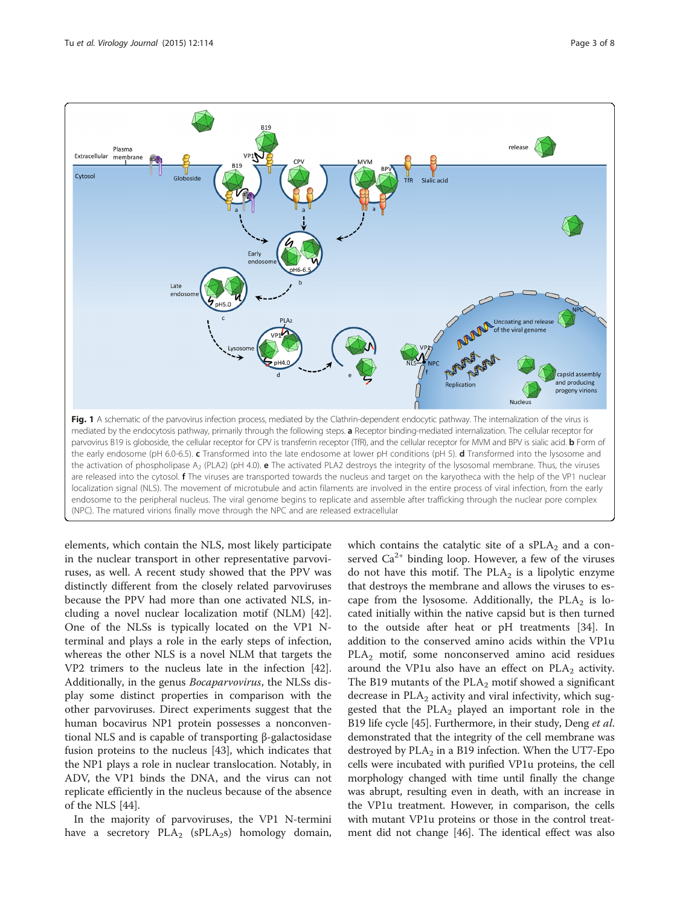<span id="page-2-0"></span>

elements, which contain the NLS, most likely participate in the nuclear transport in other representative parvoviruses, as well. A recent study showed that the PPV was distinctly different from the closely related parvoviruses because the PPV had more than one activated NLS, including a novel nuclear localization motif (NLM) [\[42](#page-6-0)]. One of the NLSs is typically located on the VP1 Nterminal and plays a role in the early steps of infection, whereas the other NLS is a novel NLM that targets the VP2 trimers to the nucleus late in the infection [\[42](#page-6-0)]. Additionally, in the genus *Bocaparvovirus*, the NLSs display some distinct properties in comparison with the other parvoviruses. Direct experiments suggest that the human bocavirus NP1 protein possesses a nonconventional NLS and is capable of transporting β-galactosidase fusion proteins to the nucleus [\[43](#page-7-0)], which indicates that the NP1 plays a role in nuclear translocation. Notably, in ADV, the VP1 binds the DNA, and the virus can not replicate efficiently in the nucleus because of the absence of the NLS [[44](#page-7-0)].

In the majority of parvoviruses, the VP1 N-termini have a secretory  $PLA_2$  (sPLA<sub>2</sub>s) homology domain,

which contains the catalytic site of a  $sPLA_2$  and a conserved  $Ca^{2+}$  binding loop. However, a few of the viruses do not have this motif. The  $PLA<sub>2</sub>$  is a lipolytic enzyme that destroys the membrane and allows the viruses to escape from the lysosome. Additionally, the  $PLA_2$  is located initially within the native capsid but is then turned to the outside after heat or pH treatments [[34](#page-6-0)]. In addition to the conserved amino acids within the VP1u  $PLA<sub>2</sub>$  motif, some nonconserved amino acid residues around the VP1u also have an effect on  $PLA_2$  activity. The B19 mutants of the  $PLA_2$  motif showed a significant decrease in  $PLA<sub>2</sub>$  activity and viral infectivity, which suggested that the  $PLA_2$  played an important role in the B19 life cycle [\[45\]](#page-7-0). Furthermore, in their study, Deng et al. demonstrated that the integrity of the cell membrane was destroyed by  $PLA_2$  in a B19 infection. When the UT7-Epo cells were incubated with purified VP1u proteins, the cell morphology changed with time until finally the change was abrupt, resulting even in death, with an increase in the VP1u treatment. However, in comparison, the cells with mutant VP1u proteins or those in the control treatment did not change [\[46\]](#page-7-0). The identical effect was also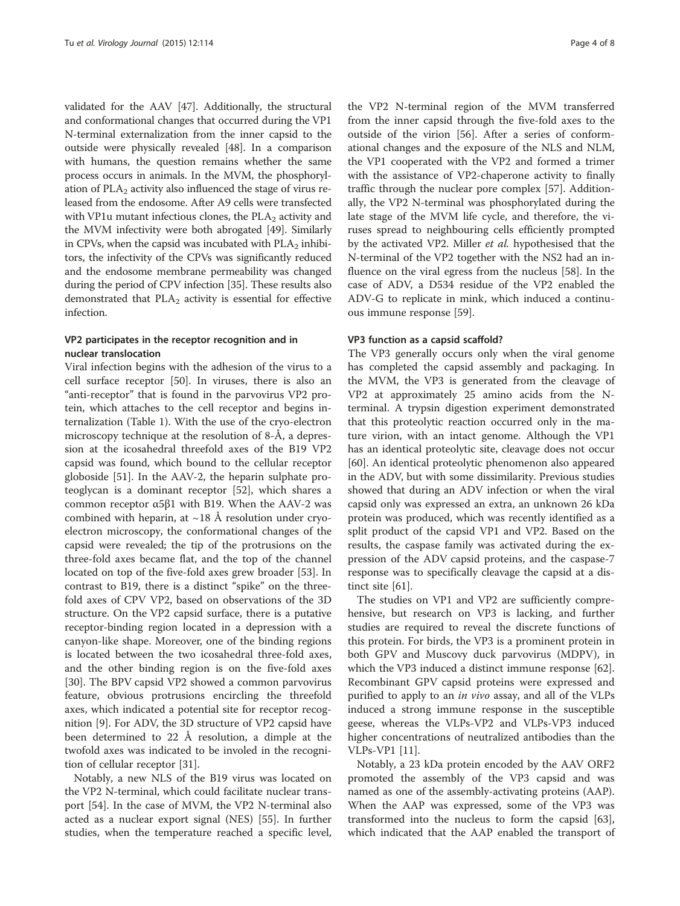validated for the AAV [[47](#page-7-0)]. Additionally, the structural and conformational changes that occurred during the VP1 N-terminal externalization from the inner capsid to the outside were physically revealed [\[48\]](#page-7-0). In a comparison with humans, the question remains whether the same process occurs in animals. In the MVM, the phosphorylation of  $PLA_2$  activity also influenced the stage of virus released from the endosome. After A9 cells were transfected with VP1u mutant infectious clones, the  $PLA<sub>2</sub>$  activity and the MVM infectivity were both abrogated [[49](#page-7-0)]. Similarly in CPVs, when the capsid was incubated with  $PLA<sub>2</sub>$  inhibitors, the infectivity of the CPVs was significantly reduced and the endosome membrane permeability was changed during the period of CPV infection [\[35\]](#page-6-0). These results also demonstrated that  $PLA_2$  activity is essential for effective infection.

#### VP2 participates in the receptor recognition and in nuclear translocation

Viral infection begins with the adhesion of the virus to a cell surface receptor [\[50](#page-7-0)]. In viruses, there is also an "anti-receptor" that is found in the parvovirus VP2 protein, which attaches to the cell receptor and begins internalization (Table [1](#page-4-0)). With the use of the cryo-electron microscopy technique at the resolution of 8-Å, a depression at the icosahedral threefold axes of the B19 VP2 capsid was found, which bound to the cellular receptor globoside [\[51\]](#page-7-0). In the AAV-2, the heparin sulphate proteoglycan is a dominant receptor [[52\]](#page-7-0), which shares a common receptor α5β1 with B19. When the AAV-2 was combined with heparin, at  $\sim$ 18 Å resolution under cryoelectron microscopy, the conformational changes of the capsid were revealed; the tip of the protrusions on the three-fold axes became flat, and the top of the channel located on top of the five-fold axes grew broader [[53](#page-7-0)]. In contrast to B19, there is a distinct "spike" on the threefold axes of CPV VP2, based on observations of the 3D structure. On the VP2 capsid surface, there is a putative receptor-binding region located in a depression with a canyon-like shape. Moreover, one of the binding regions is located between the two icosahedral three-fold axes, and the other binding region is on the five-fold axes [[30\]](#page-6-0). The BPV capsid VP2 showed a common parvovirus feature, obvious protrusions encircling the threefold axes, which indicated a potential site for receptor recognition [\[9\]](#page-6-0). For ADV, the 3D structure of VP2 capsid have been determined to 22 Å resolution, a dimple at the twofold axes was indicated to be involed in the recognition of cellular receptor [[31\]](#page-6-0).

Notably, a new NLS of the B19 virus was located on the VP2 N-terminal, which could facilitate nuclear transport [\[54](#page-7-0)]. In the case of MVM, the VP2 N-terminal also acted as a nuclear export signal (NES) [\[55](#page-7-0)]. In further studies, when the temperature reached a specific level,

the VP2 N-terminal region of the MVM transferred from the inner capsid through the five-fold axes to the outside of the virion [\[56\]](#page-7-0). After a series of conformational changes and the exposure of the NLS and NLM, the VP1 cooperated with the VP2 and formed a trimer with the assistance of VP2-chaperone activity to finally traffic through the nuclear pore complex [\[57](#page-7-0)]. Additionally, the VP2 N-terminal was phosphorylated during the late stage of the MVM life cycle, and therefore, the viruses spread to neighbouring cells efficiently prompted by the activated VP2. Miller et al. hypothesised that the N-terminal of the VP2 together with the NS2 had an influence on the viral egress from the nucleus [[58\]](#page-7-0). In the case of ADV, a D534 residue of the VP2 enabled the ADV-G to replicate in mink, which induced a continuous immune response [[59\]](#page-7-0).

#### VP3 function as a capsid scaffold?

The VP3 generally occurs only when the viral genome has completed the capsid assembly and packaging. In the MVM, the VP3 is generated from the cleavage of VP2 at approximately 25 amino acids from the Nterminal. A trypsin digestion experiment demonstrated that this proteolytic reaction occurred only in the mature virion, with an intact genome. Although the VP1 has an identical proteolytic site, cleavage does not occur [[60\]](#page-7-0). An identical proteolytic phenomenon also appeared in the ADV, but with some dissimilarity. Previous studies showed that during an ADV infection or when the viral capsid only was expressed an extra, an unknown 26 kDa protein was produced, which was recently identified as a split product of the capsid VP1 and VP2. Based on the results, the caspase family was activated during the expression of the ADV capsid proteins, and the caspase-7 response was to specifically cleavage the capsid at a distinct site [[61](#page-7-0)].

The studies on VP1 and VP2 are sufficiently comprehensive, but research on VP3 is lacking, and further studies are required to reveal the discrete functions of this protein. For birds, the VP3 is a prominent protein in both GPV and Muscovy duck parvovirus (MDPV), in which the VP3 induced a distinct immune response [\[62](#page-7-0)]. Recombinant GPV capsid proteins were expressed and purified to apply to an *in vivo* assay, and all of the VLPs induced a strong immune response in the susceptible geese, whereas the VLPs-VP2 and VLPs-VP3 induced higher concentrations of neutralized antibodies than the VLPs-VP1 [[11\]](#page-6-0).

Notably, a 23 kDa protein encoded by the AAV ORF2 promoted the assembly of the VP3 capsid and was named as one of the assembly-activating proteins (AAP). When the AAP was expressed, some of the VP3 was transformed into the nucleus to form the capsid [\[63](#page-7-0)], which indicated that the AAP enabled the transport of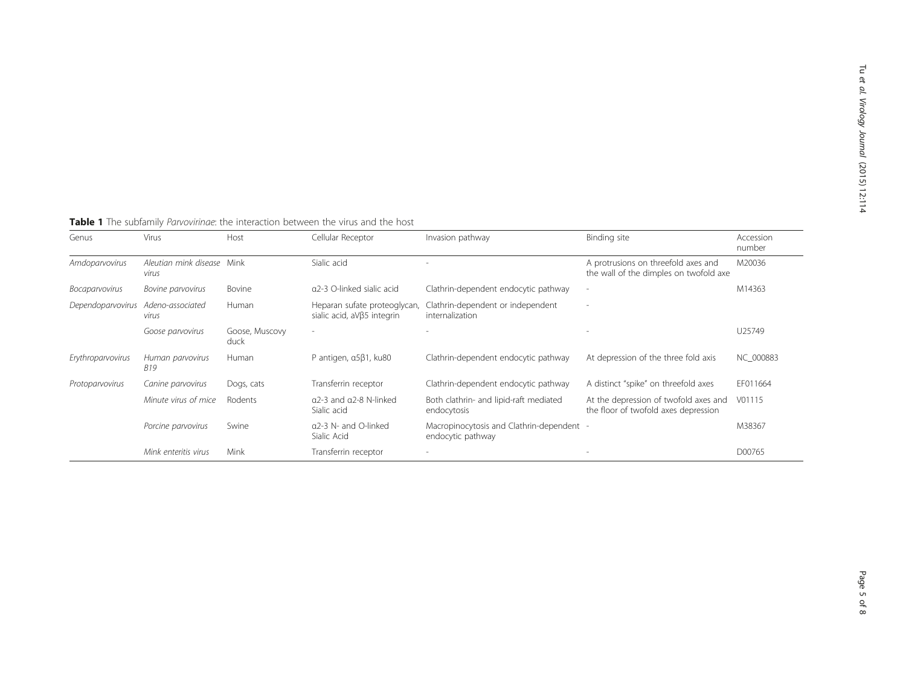$\overline{\phantom{0}}$ 

| Genus                 | Virus                          | Host                   | Cellular Receptor                                          | Invasion pathway                                               | Binding site                                                                  | Accession<br>number |
|-----------------------|--------------------------------|------------------------|------------------------------------------------------------|----------------------------------------------------------------|-------------------------------------------------------------------------------|---------------------|
| Amdoparvovirus        | Aleutian mink disease<br>virus | Mink                   | Sialic acid                                                |                                                                | A protrusions on threefold axes and<br>the wall of the dimples on twofold axe | M20036              |
| <b>Bocaparvovirus</b> | Bovine parvovirus              | Bovine                 | a2-3 O-linked sialic acid                                  | Clathrin-dependent endocytic pathway                           | $\overline{\phantom{a}}$                                                      | M14363              |
| Dependoparvovirus     | Adeno-associated<br>virus      | <b>Human</b>           | Heparan sufate proteoglycan,<br>sialic acid, aVβ5 integrin | Clathrin-dependent or independent<br>internalization           | $\sim$                                                                        |                     |
|                       | Goose parvovirus               | Goose, Muscovy<br>duck |                                                            |                                                                |                                                                               | U25749              |
| Erythroparvovirus     | Human parvovirus<br><b>B19</b> | Human                  | P antigen, a5 $\beta$ 1, ku80                              | Clathrin-dependent endocytic pathway                           | At depression of the three fold axis                                          | NC_000883           |
| Protoparvovirus       | Canine parvovirus              | Dogs, cats             | Transferrin receptor                                       | Clathrin-dependent endocytic pathway                           | A distinct "spike" on threefold axes                                          | EF011664            |
|                       | Minute virus of mice           | Rodents                | a2-3 and a2-8 N-linked<br>Sialic acid                      | Both clathrin- and lipid-raft mediated<br>endocytosis          | At the depression of twofold axes and<br>the floor of twofold axes depression | V01115              |
|                       | Porcine parvovirus             | Swine                  | a2-3 N- and O-linked<br>Sialic Acid                        | Macropinocytosis and Clathrin-dependent -<br>endocytic pathway |                                                                               | M38367              |
|                       | Mink enteritis virus           | Mink                   | Transferrin receptor                                       |                                                                |                                                                               | D00765              |

## <span id="page-4-0"></span>Table 1 The subfamily Parvovirinae: the interaction between the virus and the host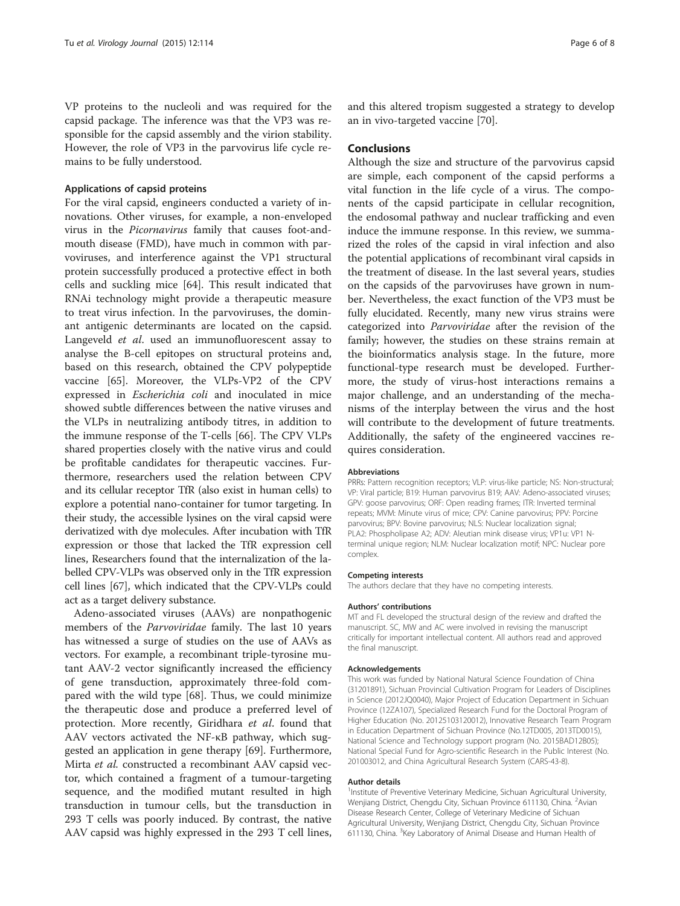VP proteins to the nucleoli and was required for the capsid package. The inference was that the VP3 was responsible for the capsid assembly and the virion stability. However, the role of VP3 in the parvovirus life cycle remains to be fully understood.

#### Applications of capsid proteins

For the viral capsid, engineers conducted a variety of innovations. Other viruses, for example, a non-enveloped virus in the Picornavirus family that causes foot-andmouth disease (FMD), have much in common with parvoviruses, and interference against the VP1 structural protein successfully produced a protective effect in both cells and suckling mice [\[64](#page-7-0)]. This result indicated that RNAi technology might provide a therapeutic measure to treat virus infection. In the parvoviruses, the dominant antigenic determinants are located on the capsid. Langeveld et al. used an immunofluorescent assay to analyse the B-cell epitopes on structural proteins and, based on this research, obtained the CPV polypeptide vaccine [[65\]](#page-7-0). Moreover, the VLPs-VP2 of the CPV expressed in Escherichia coli and inoculated in mice showed subtle differences between the native viruses and the VLPs in neutralizing antibody titres, in addition to the immune response of the T-cells [\[66\]](#page-7-0). The CPV VLPs shared properties closely with the native virus and could be profitable candidates for therapeutic vaccines. Furthermore, researchers used the relation between CPV and its cellular receptor TfR (also exist in human cells) to explore a potential nano-container for tumor targeting. In their study, the accessible lysines on the viral capsid were derivatized with dye molecules. After incubation with TfR expression or those that lacked the TfR expression cell lines, Researchers found that the internalization of the labelled CPV-VLPs was observed only in the TfR expression cell lines [\[67\]](#page-7-0), which indicated that the CPV-VLPs could act as a target delivery substance.

Adeno-associated viruses (AAVs) are nonpathogenic members of the Parvoviridae family. The last 10 years has witnessed a surge of studies on the use of AAVs as vectors. For example, a recombinant triple-tyrosine mutant AAV-2 vector significantly increased the efficiency of gene transduction, approximately three-fold compared with the wild type [[68\]](#page-7-0). Thus, we could minimize the therapeutic dose and produce a preferred level of protection. More recently, Giridhara et al. found that AAV vectors activated the NF-κB pathway, which suggested an application in gene therapy [[69\]](#page-7-0). Furthermore, Mirta et al. constructed a recombinant AAV capsid vector, which contained a fragment of a tumour-targeting sequence, and the modified mutant resulted in high transduction in tumour cells, but the transduction in 293 T cells was poorly induced. By contrast, the native AAV capsid was highly expressed in the 293 T cell lines,

and this altered tropism suggested a strategy to develop an in vivo-targeted vaccine [[70\]](#page-7-0).

#### Conclusions

Although the size and structure of the parvovirus capsid are simple, each component of the capsid performs a vital function in the life cycle of a virus. The components of the capsid participate in cellular recognition, the endosomal pathway and nuclear trafficking and even induce the immune response. In this review, we summarized the roles of the capsid in viral infection and also the potential applications of recombinant viral capsids in the treatment of disease. In the last several years, studies on the capsids of the parvoviruses have grown in number. Nevertheless, the exact function of the VP3 must be fully elucidated. Recently, many new virus strains were categorized into Parvoviridae after the revision of the family; however, the studies on these strains remain at the bioinformatics analysis stage. In the future, more functional-type research must be developed. Furthermore, the study of virus-host interactions remains a major challenge, and an understanding of the mechanisms of the interplay between the virus and the host will contribute to the development of future treatments. Additionally, the safety of the engineered vaccines requires consideration.

#### Abbreviations

PRRs: Pattern recognition receptors; VLP: virus-like particle; NS: Non-structural; VP: Viral particle; B19: Human parvovirus B19; AAV: Adeno-associated viruses; GPV: goose parvovirus; ORF: Open reading frames; ITR: Inverted terminal repeats; MVM: Minute virus of mice; CPV: Canine parvovirus; PPV: Porcine parvovirus; BPV: Bovine parvovirus; NLS: Nuclear localization signal: PLA2: Phospholipase A2; ADV: Aleutian mink disease virus; VP1u: VP1 Nterminal unique region; NLM: Nuclear localization motif; NPC: Nuclear pore complex.

#### Competing interests

The authors declare that they have no competing interests.

#### Authors' contributions

MT and FL developed the structural design of the review and drafted the manuscript. SC, MW and AC were involved in revising the manuscript critically for important intellectual content. All authors read and approved the final manuscript.

#### Acknowledgements

This work was funded by National Natural Science Foundation of China (31201891), Sichuan Provincial Cultivation Program for Leaders of Disciplines in Science (2012JQ0040), Major Project of Education Department in Sichuan Province (12ZA107), Specialized Research Fund for the Doctoral Program of Higher Education (No. 20125103120012), Innovative Research Team Program in Education Department of Sichuan Province (No.12TD005, 2013TD0015), National Science and Technology support program (No. 2015BAD12B05); National Special Fund for Agro-scientific Research in the Public Interest (No. 201003012, and China Agricultural Research System (CARS-43-8).

#### Author details

<sup>1</sup>Institute of Preventive Veterinary Medicine, Sichuan Agricultural University Wenjiang District, Chengdu City, Sichuan Province 611130, China. <sup>2</sup>Avian Disease Research Center, College of Veterinary Medicine of Sichuan Agricultural University, Wenjiang District, Chengdu City, Sichuan Province 611130, China. <sup>3</sup> Key Laboratory of Animal Disease and Human Health of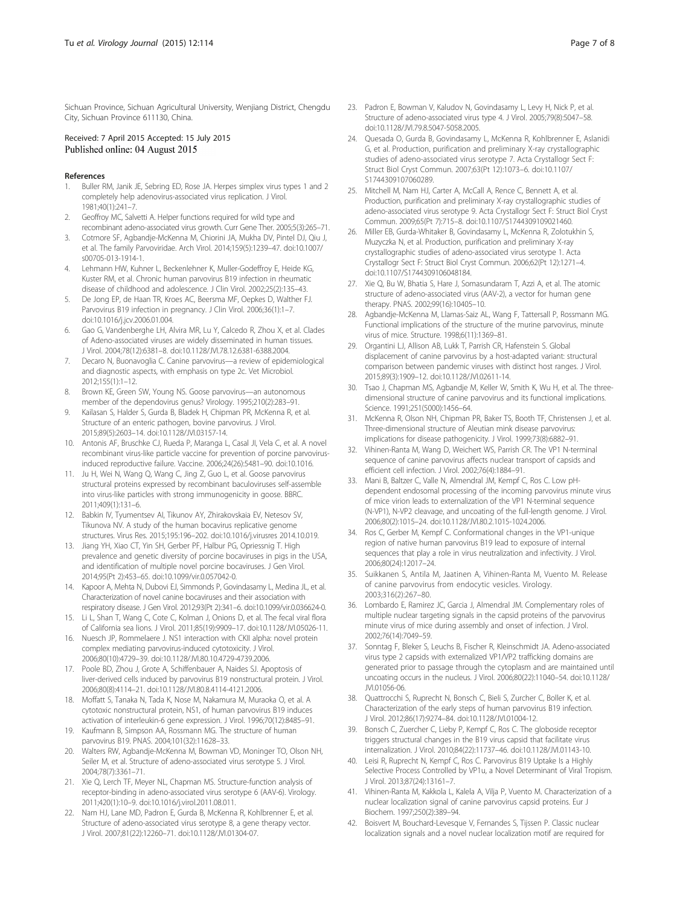<span id="page-6-0"></span>Sichuan Province, Sichuan Agricultural University, Wenjiang District, Chengdu City, Sichuan Province 611130, China.

#### Received: 7 April 2015 Accepted: 15 July 2015 Published online: 04 August 2015

#### References

- 1. Buller RM, Janik JE, Sebring ED, Rose JA. Herpes simplex virus types 1 and 2 completely help adenovirus-associated virus replication. J Virol. 1981;40(1):241–7.
- 2. Geoffroy MC, Salvetti A. Helper functions required for wild type and recombinant adeno-associated virus growth. Curr Gene Ther. 2005;5(3):265–71.
- 3. Cotmore SF, Agbandje-McKenna M, Chiorini JA, Mukha DV, Pintel DJ, Qiu J, et al. The family Parvoviridae. Arch Virol. 2014;159(5):1239–47. doi:[10.1007/](http://dx.doi.org/10.1007/s00705-013-1914-1) [s00705-013-1914-1.](http://dx.doi.org/10.1007/s00705-013-1914-1)
- 4. Lehmann HW, Kuhner L, Beckenlehner K, Muller-Godeffroy E, Heide KG, Kuster RM, et al. Chronic human parvovirus B19 infection in rheumatic disease of childhood and adolescence. J Clin Virol. 2002;25(2):135–43.
- 5. De Jong EP, de Haan TR, Kroes AC, Beersma MF, Oepkes D, Walther FJ. Parvovirus B19 infection in pregnancy. J Clin Virol. 2006;36(1):1–7. doi[:10.1016/j.jcv.2006.01.004.](http://dx.doi.org/10.1016/j.jcv.2006.01.004)
- 6. Gao G, Vandenberghe LH, Alvira MR, Lu Y, Calcedo R, Zhou X, et al. Clades of Adeno-associated viruses are widely disseminated in human tissues. J Virol. 2004;78(12):6381–8. doi:[10.1128/JVI.78.12.6381-6388.2004.](http://dx.doi.org/10.1128/JVI.78.12.6381-6388.2004)
- 7. Decaro N, Buonavoglia C. Canine parvovirus—a review of epidemiological and diagnostic aspects, with emphasis on type 2c. Vet Microbiol. 2012;155(1):1–12.
- 8. Brown KE, Green SW, Young NS. Goose parvovirus—an autonomous member of the dependovirus genus? Virology. 1995;210(2):283–91.
- 9. Kailasan S, Halder S, Gurda B, Bladek H, Chipman PR, McKenna R, et al. Structure of an enteric pathogen, bovine parvovirus. J Virol. 2015;89(5):2603–14. doi[:10.1128/JVI.03157-14](http://dx.doi.org/10.1128/JVI.03157-14).
- 10. Antonis AF, Bruschke CJ, Rueda P, Maranga L, Casal JI, Vela C, et al. A novel recombinant virus-like particle vaccine for prevention of porcine parvovirusinduced reproductive failure. Vaccine. 2006;24(26):5481–90. doi:[10.1016.](http://dx.doi.org/10.1016)
- 11. Ju H, Wei N, Wang Q, Wang C, Jing Z, Guo L, et al. Goose parvovirus structural proteins expressed by recombinant baculoviruses self-assemble into virus-like particles with strong immunogenicity in goose. BBRC. 2011;409(1):131–6.
- 12. Babkin IV, Tyumentsev AI, Tikunov AY, Zhirakovskaia EV, Netesov SV, Tikunova NV. A study of the human bocavirus replicative genome structures. Virus Res. 2015;195:196–202. doi[:10.1016/j.virusres 2014.10.019](http://dx.doi.org/10.1016/j.virusres%202014.10.019).
- 13. Jiang YH, Xiao CT, Yin SH, Gerber PF, Halbur PG, Opriessnig T. High prevalence and genetic diversity of porcine bocaviruses in pigs in the USA, and identification of multiple novel porcine bocaviruses. J Gen Virol. 2014;95(Pt 2):453–65. doi:[10.1099/vir.0.057042-0](http://dx.doi.org/10.1099/vir.0.057042-0).
- 14. Kapoor A, Mehta N, Dubovi EJ, Simmonds P, Govindasamy L, Medina JL, et al. Characterization of novel canine bocaviruses and their association with respiratory disease. J Gen Virol. 2012;93(Pt 2):341–6. doi[:10.1099/vir.0.036624-0.](http://dx.doi.org/10.1099/vir.0.036624-0)
- 15. Li L, Shan T, Wang C, Cote C, Kolman J, Onions D, et al. The fecal viral flora of California sea lions. J Virol. 2011;85(19):9909–17. doi[:10.1128/JVI.05026-11.](http://dx.doi.org/10.1128/JVI.05026-11)
- 16. Nuesch JP, Rommelaere J. NS1 interaction with CKII alpha: novel protein complex mediating parvovirus-induced cytotoxicity. J Virol. 2006;80(10):4729–39. doi:[10.1128/JVI.80.10.4729-4739.2006.](http://dx.doi.org/10.1128/JVI.80.10.4729-4739.2006)
- 17. Poole BD, Zhou J, Grote A, Schiffenbauer A, Naides SJ. Apoptosis of liver-derived cells induced by parvovirus B19 nonstructural protein. J Virol. 2006;80(8):4114–21. doi[:10.1128/JVI.80.8.4114-4121.2006.](http://dx.doi.org/10.1128/JVI.80.8.4114-4121.2006)
- 18. Moffatt S, Tanaka N, Tada K, Nose M, Nakamura M, Muraoka O, et al. A cytotoxic nonstructural protein, NS1, of human parvovirus B19 induces activation of interleukin-6 gene expression. J Virol. 1996;70(12):8485–91.
- 19. Kaufmann B, Simpson AA, Rossmann MG. The structure of human parvovirus B19. PNAS. 2004;101(32):11628–33.
- 20. Walters RW, Agbandje-McKenna M, Bowman VD, Moninger TO, Olson NH, Seiler M, et al. Structure of adeno-associated virus serotype 5. J Virol. 2004;78(7):3361–71.
- 21. Xie Q, Lerch TF, Meyer NL, Chapman MS. Structure-function analysis of receptor-binding in adeno-associated virus serotype 6 (AAV-6). Virology. 2011;420(1):10–9. doi[:10.1016/j.virol.2011.08.011.](http://dx.doi.org/10.1016/j.virol.2011.08.011)
- 22. Nam HJ, Lane MD, Padron E, Gurda B, McKenna R, Kohlbrenner E, et al. Structure of adeno-associated virus serotype 8, a gene therapy vector. J Virol. 2007;81(22):12260–71. doi[:10.1128/JVI.01304-07](http://dx.doi.org/10.1128/JVI.01304-07).
- 23. Padron E, Bowman V, Kaludov N, Govindasamy L, Levy H, Nick P, et al. Structure of adeno-associated virus type 4. J Virol. 2005;79(8):5047–58. doi[:10.1128/JVI.79.8.5047-5058.2005.](http://dx.doi.org/10.1128/JVI.79.8.5047-5058.2005)
- 24. Quesada O, Gurda B, Govindasamy L, McKenna R, Kohlbrenner E, Aslanidi G, et al. Production, purification and preliminary X-ray crystallographic studies of adeno-associated virus serotype 7. Acta Crystallogr Sect F: Struct Biol Cryst Commun. 2007;63(Pt 12):1073–6. doi:[10.1107/](http://dx.doi.org/10.1107/S1744309107060289) [S1744309107060289](http://dx.doi.org/10.1107/S1744309107060289).
- 25. Mitchell M, Nam HJ, Carter A, McCall A, Rence C, Bennett A, et al. Production, purification and preliminary X-ray crystallographic studies of adeno-associated virus serotype 9. Acta Crystallogr Sect F: Struct Biol Cryst Commun. 2009;65(Pt 7):715–8. doi:[10.1107/S1744309109021460.](http://dx.doi.org/10.1107/S1744309109021460)
- 26. Miller EB, Gurda-Whitaker B, Govindasamy L, McKenna R, Zolotukhin S, Muzyczka N, et al. Production, purification and preliminary X-ray crystallographic studies of adeno-associated virus serotype 1. Acta Crystallogr Sect F: Struct Biol Cryst Commun. 2006;62(Pt 12):1271–4. doi[:10.1107/S1744309106048184.](http://dx.doi.org/10.1107/S1744309106048184)
- 27. Xie Q, Bu W, Bhatia S, Hare J, Somasundaram T, Azzi A, et al. The atomic structure of adeno-associated virus (AAV-2), a vector for human gene therapy. PNAS. 2002;99(16):10405–10.
- 28. Agbandje-McKenna M, Llamas-Saiz AL, Wang F, Tattersall P, Rossmann MG. Functional implications of the structure of the murine parvovirus, minute virus of mice. Structure. 1998;6(11):1369–81.
- 29. Organtini LJ, Allison AB, Lukk T, Parrish CR, Hafenstein S. Global displacement of canine parvovirus by a host-adapted variant: structural comparison between pandemic viruses with distinct host ranges. J Virol. 2015;89(3):1909–12. doi[:10.1128/JVI.02611-14](http://dx.doi.org/10.1128/JVI.02611-14).
- 30. Tsao J, Chapman MS, Agbandje M, Keller W, Smith K, Wu H, et al. The threedimensional structure of canine parvovirus and its functional implications. Science. 1991;251(5000):1456–64.
- 31. McKenna R, Olson NH, Chipman PR, Baker TS, Booth TF, Christensen J, et al. Three-dimensional structure of Aleutian mink disease parvovirus: implications for disease pathogenicity. J Virol. 1999;73(8):6882–91.
- 32. Vihinen-Ranta M, Wang D, Weichert WS, Parrish CR. The VP1 N-terminal sequence of canine parvovirus affects nuclear transport of capsids and efficient cell infection. J Virol. 2002;76(4):1884–91.
- 33. Mani B, Baltzer C, Valle N, Almendral JM, Kempf C, Ros C. Low pHdependent endosomal processing of the incoming parvovirus minute virus of mice virion leads to externalization of the VP1 N-terminal sequence (N-VP1), N-VP2 cleavage, and uncoating of the full-length genome. J Virol. 2006;80(2):1015–24. doi[:10.1128/JVI.80.2.1015-1024.2006.](http://dx.doi.org/10.1128/JVI.80.2.1015-1024.2006)
- 34. Ros C, Gerber M, Kempf C. Conformational changes in the VP1-unique region of native human parvovirus B19 lead to exposure of internal sequences that play a role in virus neutralization and infectivity. J Virol. 2006;80(24):12017–24.
- 35. Suikkanen S, Antila M, Jaatinen A, Vihinen-Ranta M, Vuento M. Release of canine parvovirus from endocytic vesicles. Virology. 2003;316(2):267–80.
- 36. Lombardo E, Ramirez JC, Garcia J, Almendral JM. Complementary roles of multiple nuclear targeting signals in the capsid proteins of the parvovirus minute virus of mice during assembly and onset of infection. J Virol. 2002;76(14):7049–59.
- 37. Sonntag F, Bleker S, Leuchs B, Fischer R, Kleinschmidt JA. Adeno-associated virus type 2 capsids with externalized VP1/VP2 trafficking domains are generated prior to passage through the cytoplasm and are maintained until uncoating occurs in the nucleus. J Virol. 2006;80(22):11040–54. doi[:10.1128/](http://dx.doi.org/10.1128/JVI.01056-06) [JVI.01056-06](http://dx.doi.org/10.1128/JVI.01056-06).
- 38. Quattrocchi S, Ruprecht N, Bonsch C, Bieli S, Zurcher C, Boller K, et al. Characterization of the early steps of human parvovirus B19 infection. J Virol. 2012;86(17):9274–84. doi[:10.1128/JVI.01004-12.](http://dx.doi.org/10.1128/JVI.01004-12)
- 39. Bonsch C, Zuercher C, Lieby P, Kempf C, Ros C. The globoside receptor triggers structural changes in the B19 virus capsid that facilitate virus internalization. J Virol. 2010;84(22):11737–46. doi:[10.1128/JVI.01143-10.](http://dx.doi.org/10.1128/JVI.01143-10)
- 40. Leisi R, Ruprecht N, Kempf C, Ros C. Parvovirus B19 Uptake Is a Highly Selective Process Controlled by VP1u, a Novel Determinant of Viral Tropism. J Virol. 2013;87(24):13161–7.
- 41. Vihinen-Ranta M, Kakkola L, Kalela A, Vilja P, Vuento M. Characterization of a nuclear localization signal of canine parvovirus capsid proteins. Eur J Biochem. 1997;250(2):389–94.
- 42. Boisvert M, Bouchard-Levesque V, Fernandes S, Tijssen P. Classic nuclear localization signals and a novel nuclear localization motif are required for